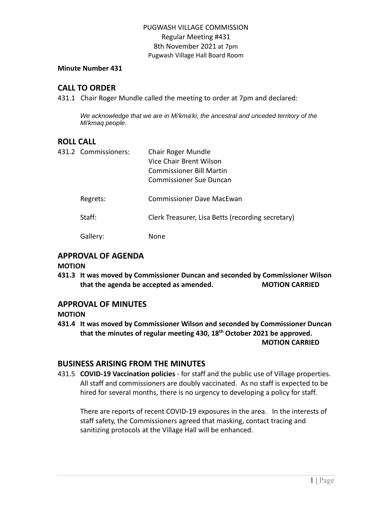#### **Minute Number 431**

### **CALL TO ORDER**

431.1 Chair Roger Mundle called the meeting to order at 7pm and declared:

*We acknowledge that we are in Mi'kma'ki, the ancestral and unceded territory of the Mi'kmaq people.*

### **ROLL CALL**

| 431.2 Commissioners: | Chair Roger Mundle<br>Vice Chair Brent Wilson<br><b>Commissioner Bill Martin</b><br><b>Commissioner Sue Duncan</b> |
|----------------------|--------------------------------------------------------------------------------------------------------------------|
| Regrets:             | Commissioner Dave MacEwan                                                                                          |
| Staff:               | Clerk Treasurer, Lisa Betts (recording secretary)                                                                  |
| Gallerv:             | None                                                                                                               |

# **APPROVAL OF AGENDA**

#### **MOTION**

**431.3 It was moved by Commissioner Duncan and seconded by Commissioner Wilson that the agenda be accepted as amended. MOTION CARRIED**

### **APPROVAL OF MINUTES**

#### **MOTION**

**431.4 It was moved by Commissioner Wilson and seconded by Commissioner Duncan that the minutes of regular meeting 430, 18 th October 2021 be approved. MOTION CARRIED**

### **BUSINESS ARISING FROM THE MINUTES**

431.5 **COVID-19 Vaccination policies** - for staff and the public use of Village properties. All staff and commissioners are doubly vaccinated. As no staff is expected to be hired for several months, there is no urgency to developing a policy for staff.

There are reports of recent COVID-19 exposures in the area. In the interests of staff safety, the Commissioners agreed that masking, contact tracing and sanitizing protocols at the Village Hall will be enhanced.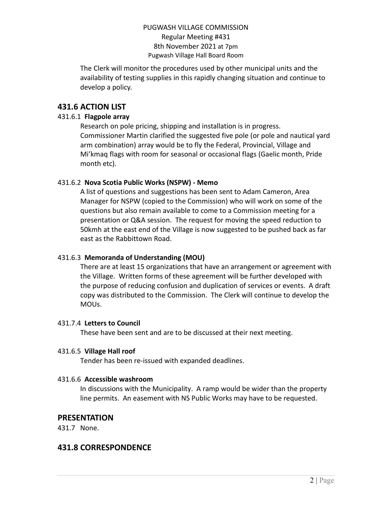The Clerk will monitor the procedures used by other municipal units and the availability of testing supplies in this rapidly changing situation and continue to develop a policy.

# **431.6 ACTION LIST**

### 431.6.1 **Flagpole array**

Research on pole pricing, shipping and installation is in progress. Commissioner Martin clarified the suggested five pole (or pole and nautical yard arm combination) array would be to fly the Federal, Provincial, Village and Mi'kmaq flags with room for seasonal or occasional flags (Gaelic month, Pride month etc).

### 431.6.2 **Nova Scotia Public Works (NSPW) - Memo**

A list of questions and suggestions has been sent to Adam Cameron, Area Manager for NSPW (copied to the Commission) who will work on some of the questions but also remain available to come to a Commission meeting for a presentation or Q&A session. The request for moving the speed reduction to 50kmh at the east end of the Village is now suggested to be pushed back as far east as the Rabbittown Road.

# 431.6.3 **Memoranda of Understanding (MOU)**

There are at least 15 organizations that have an arrangement or agreement with the Village. Written forms of these agreement will be further developed with the purpose of reducing confusion and duplication of services or events. A draft copy was distributed to the Commission. The Clerk will continue to develop the MOUs.

### 431.7.4 **Letters to Council**

These have been sent and are to be discussed at their next meeting.

### 431.6.5 **Village Hall roof**

Tender has been re-issued with expanded deadlines.

### 431.6.6 **Accessible washroom**

In discussions with the Municipality. A ramp would be wider than the property line permits. An easement with NS Public Works may have to be requested.

# **PRESENTATION**

431.7 None.

# **431.8 CORRESPONDENCE**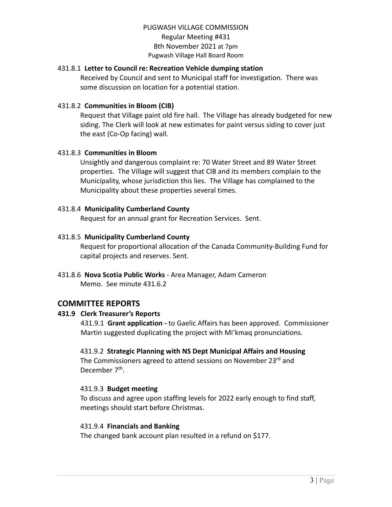### 431.8.1 **Letter to Council re: Recreation Vehicle dumping station**

Received by Council and sent to Municipal staff for investigation. There was some discussion on location for a potential station.

#### 431.8.2 **Communities in Bloom (CIB)**

Request that Village paint old fire hall. The Village has already budgeted for new siding. The Clerk will look at new estimates for paint versus siding to cover just the east (Co-Op facing) wall.

#### 431.8.3 **Communities in Bloom**

Unsightly and dangerous complaint re: 70 Water Street and 89 Water Street properties. The Village will suggest that CIB and its members complain to the Municipality, whose jurisdiction this lies. The Village has complained to the Municipality about these properties several times.

#### 431.8.4 **Municipality Cumberland County**

Request for an annual grant for Recreation Services. Sent.

#### 431.8.5 **Municipality Cumberland County**

Request for proportional allocation of the Canada Community-Building Fund for capital projects and reserves. Sent.

431.8.6 **Nova Scotia Public Works** - Area Manager, Adam Cameron Memo. See minute 431.6.2

### **COMMITTEE REPORTS**

#### **431.9 Clerk Treasurer's Reports**

431.9.1 **Grant application -** to Gaelic Affairs has been approved. Commissioner Martin suggested duplicating the project with Mi'kmaq pronunciations.

#### 431.9.2 **Strategic Planning with NS Dept Municipal Affairs and Housing**

The Commissioners agreed to attend sessions on November 23rd and December 7<sup>th</sup>.

#### 431.9.3 **Budget meeting**

To discuss and agree upon staffing levels for 2022 early enough to find staff, meetings should start before Christmas.

#### 431.9.4 **Financials and Banking**

The changed bank account plan resulted in a refund on \$177.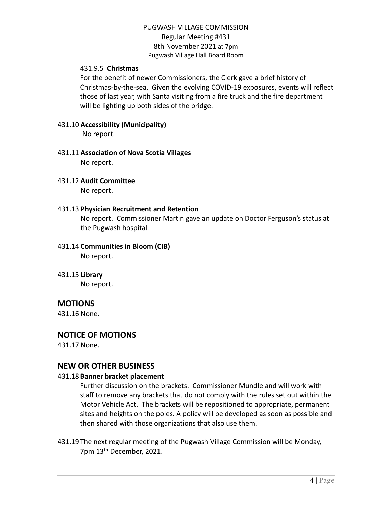#### 431.9.5 **Christmas**

For the benefit of newer Commissioners, the Clerk gave a brief history of Christmas-by-the-sea. Given the evolving COVID-19 exposures, events will reflect those of last year, with Santa visiting from a fire truck and the fire department will be lighting up both sides of the bridge.

# 431.10 **Accessibility (Municipality)**

No report.

#### 431.11 **Association of Nova Scotia Villages** No report.

### 431.12 **Audit Committee**

No report.

### 431.13 **Physician Recruitment and Retention**

No report. Commissioner Martin gave an update on Doctor Ferguson's status at the Pugwash hospital.

# 431.14 **Communities in Bloom (CIB)**

No report.

431.15 **Library** No report.

# **MOTIONS**

431.16 None.

# **NOTICE OF MOTIONS**

431.17 None.

### **NEW OR OTHER BUSINESS**

#### 431.18 **Banner bracket placement**

Further discussion on the brackets. Commissioner Mundle and will work with staff to remove any brackets that do not comply with the rules set out within the Motor Vehicle Act. The brackets will be repositioned to appropriate, permanent sites and heights on the poles. A policy will be developed as soon as possible and then shared with those organizations that also use them.

431.19 The next regular meeting of the Pugwash Village Commission will be Monday, 7pm 13th December, 2021.